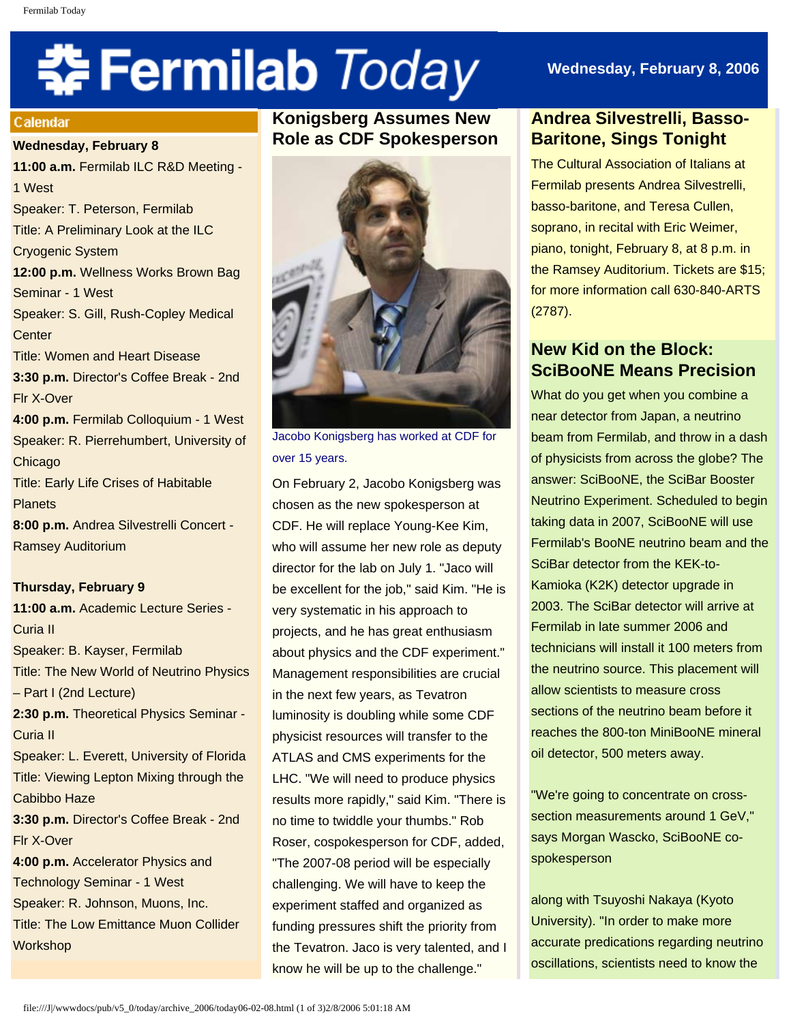# **্বী⊱Fermilab** *Today*

#### **Calendar**

## **Wednesday, February 8**

**11:00 a.m.** Fermilab ILC R&D Meeting - 1 West Speaker: T. Peterson, Fermilab Title: A Preliminary Look at the ILC Cryogenic System **12:00 p.m.** Wellness Works Brown Bag Seminar - 1 West Speaker: S. Gill, Rush-Copley Medical **Center** Title: Women and Heart Disease **3:30 p.m.** Director's Coffee Break - 2nd Flr X-Over **4:00 p.m.** Fermilab Colloquium - 1 West Speaker: R. Pierrehumbert, University of Chicago Title: Early Life Crises of Habitable **Planets 8:00 p.m.** Andrea Silvestrelli Concert - Ramsey Auditorium **Thursday, February 9**

**11:00 a.m.** Academic Lecture Series - Curia II Speaker: B. Kayser, Fermilab Title: The New World of Neutrino Physics – Part I (2nd Lecture) **2:30 p.m.** Theoretical Physics Seminar - Curia II Speaker: L. Everett, University of Florida Title: Viewing Lepton Mixing through the Cabibbo Haze **3:30 p.m.** Director's Coffee Break - 2nd Flr X-Over **4:00 p.m.** Accelerator Physics and Technology Seminar - 1 West Speaker: R. Johnson, Muons, Inc. Title: The Low Emittance Muon Collider **Workshop** 

# **Konigsberg Assumes New Role as CDF Spokesperson**



Jacobo Konigsberg has worked at CDF for over 15 years.

On February 2, Jacobo Konigsberg was chosen as the new spokesperson at CDF. He will replace Young-Kee Kim, who will assume her new role as deputy director for the lab on July 1. "Jaco will be excellent for the job," said Kim. "He is very systematic in his approach to projects, and he has great enthusiasm about physics and the CDF experiment." Management responsibilities are crucial in the next few years, as Tevatron luminosity is doubling while some CDF physicist resources will transfer to the ATLAS and CMS experiments for the LHC. "We will need to produce physics results more rapidly," said Kim. "There is no time to twiddle your thumbs." Rob Roser, cospokesperson for CDF, added, "The 2007-08 period will be especially challenging. We will have to keep the experiment staffed and organized as funding pressures shift the priority from the Tevatron. Jaco is very talented, and I know he will be up to the challenge."

## **Wednesday, February 8, 2006**

# **Andrea Silvestrelli, Basso-Baritone, Sings Tonight**

The Cultural Association of Italians at Fermilab presents Andrea Silvestrelli, basso-baritone, and Teresa Cullen, soprano, in recital with Eric Weimer, piano, tonight, February 8, at 8 p.m. in the Ramsey Auditorium. Tickets are \$15; for more information call 630-840-ARTS (2787).

# **New Kid on the Block: SciBooNE Means Precision**

What do you get when you combine a near detector from Japan, a neutrino beam from Fermilab, and throw in a dash of physicists from across the globe? The answer: SciBooNE, the SciBar Booster Neutrino Experiment. Scheduled to begin taking data in 2007, SciBooNE will use Fermilab's BooNE neutrino beam and the SciBar detector from the KEK-to-Kamioka (K2K) detector upgrade in 2003. The SciBar detector will arrive at Fermilab in late summer 2006 and technicians will install it 100 meters from the neutrino source. This placement will allow scientists to measure cross sections of the neutrino beam before it reaches the 800-ton MiniBooNE mineral oil detector, 500 meters away.

"We're going to concentrate on crosssection measurements around 1 GeV," says Morgan Wascko, SciBooNE cospokesperson

along with Tsuyoshi Nakaya (Kyoto University). "In order to make more accurate predications regarding neutrino oscillations, scientists need to know the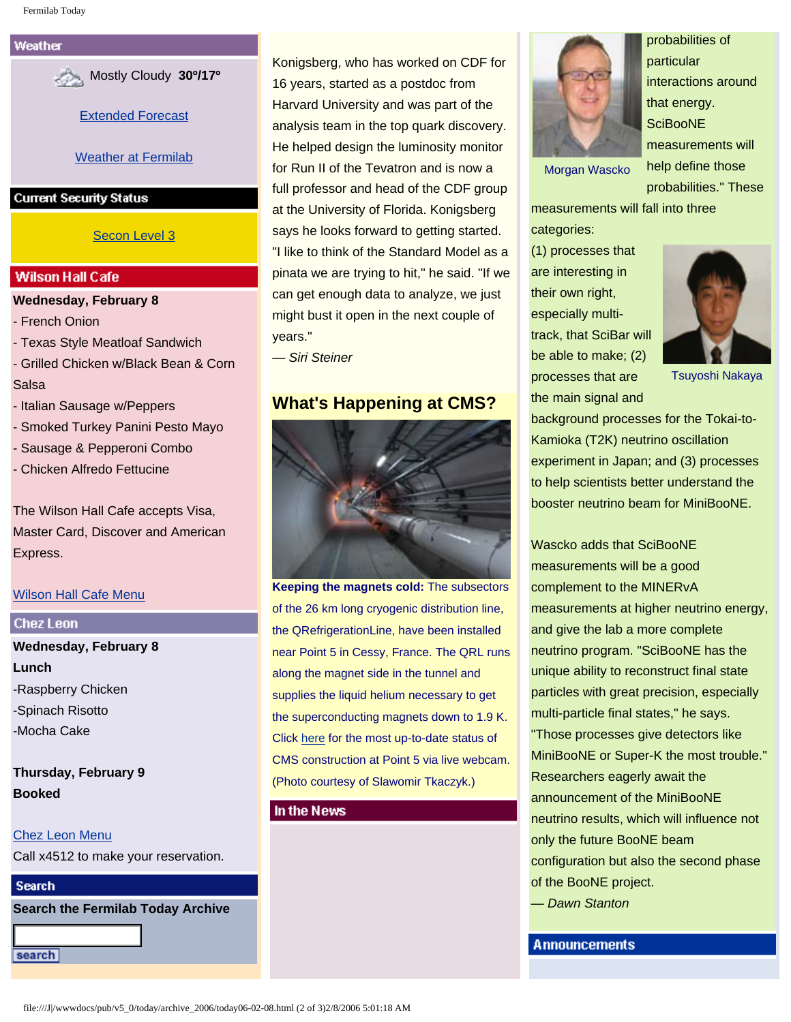Weather

Mostly Cloudy **30º/17º**

[Extended Forecast](http://www.srh.noaa.gov/data/forecasts/ILZ012.php?warncounty=ILC089&city=Batavia)

#### [Weather at Fermilab](http://www-esh.fnal.gov/pls/default/weather.html)

#### **Current Security Status**

[Secon Level 3](http://www.fnal.gov/pub/about/public_affairs/currentstatus.html)

#### **Wilson Hall Cafe**

#### **Wednesday, February 8**

- French Onion
- Texas Style Meatloaf Sandwich

- Grilled Chicken w/Black Bean & Corn **Salsa** 

- Italian Sausage w/Peppers
- Smoked Turkey Panini Pesto Mayo
- Sausage & Pepperoni Combo
- Chicken Alfredo Fettucine

The Wilson Hall Cafe accepts Visa, Master Card, Discover and American Express.

#### [Wilson Hall Cafe Menu](http://lss.fnal.gov/cafe/)

#### **Chez Leon**

**Wednesday, February 8 Lunch** -Raspberry Chicken -Spinach Risotto -Mocha Cake

**Thursday, February 9 Booked**

# [Chez Leon Menu](http://lss.fnal.gov/chezleon/index.html)

Call x4512 to make your reservation.

### **Search**

search

**Search the Fermilab Today Archive**

Konigsberg, who has worked on CDF for 16 years, started as a postdoc from Harvard University and was part of the analysis team in the top quark discovery. He helped design the luminosity monitor for Run II of the Tevatron and is now a full professor and head of the CDF group at the University of Florida. Konigsberg says he looks forward to getting started. "I like to think of the Standard Model as a pinata we are trying to hit," he said. "If we can get enough data to analyze, we just might bust it open in the next couple of years."

*— Siri Steiner*

## **What's Happening at CMS?**



**Keeping the magnets cold:** The subsectors of the 26 km long cryogenic distribution line, the QRefrigerationLine, have been installed near Point 5 in Cessy, France. The QRL runs along the magnet side in the tunnel and supplies the liquid helium necessary to get the superconducting magnets down to 1.9 K. Click [here](http://cmsinfo.cern.ch/outreach/cmseye/index.html) for the most up-to-date status of CMS construction at Point 5 via live webcam. (Photo courtesy of Slawomir Tkaczyk.)

In the News



probabilities of particular interactions around that energy. **SciBooNE** measurements will help define those probabilities." These

Morgan Wascko

measurements will fall into three categories:

(1) processes that are interesting in their own right, especially multitrack, that SciBar will be able to make; (2) processes that are the main signal and



Tsuyoshi Nakaya

background processes for the Tokai-to-Kamioka (T2K) neutrino oscillation experiment in Japan; and (3) processes to help scientists better understand the booster neutrino beam for MiniBooNE.

Wascko adds that SciBooNE measurements will be a good complement to the MINERvA measurements at higher neutrino energy, and give the lab a more complete neutrino program. "SciBooNE has the unique ability to reconstruct final state particles with great precision, especially multi-particle final states," he says. "Those processes give detectors like MiniBooNE or Super-K the most trouble." Researchers eagerly await the announcement of the MiniBooNE neutrino results, which will influence not only the future BooNE beam configuration but also the second phase of the BooNE project.

*— Dawn Stanton*

#### **Announcements**